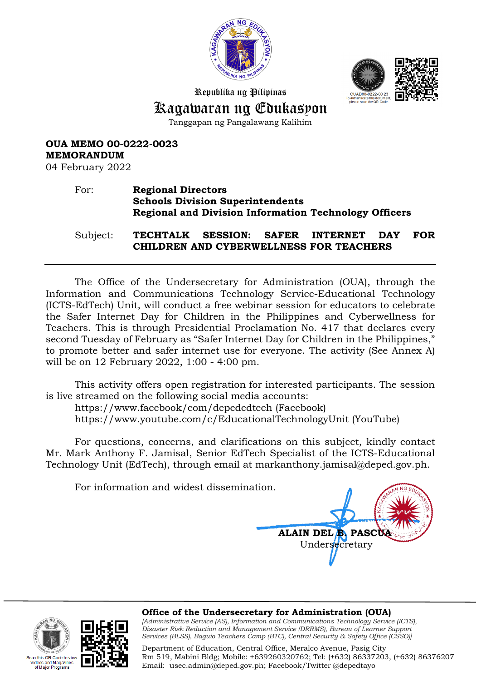



Republika ng Pilipinas

## Kagawaran ng Edukasyon

Tanggapan ng Pangalawang Kalihim

**OUA MEMO 00-0222-0023 MEMORANDUM**

04 February 2022

## For: **Regional Directors Schools Division Superintendents Regional and Division Information Technology Officers**

Subject: **TECHTALK SESSION: SAFER INTERNET DAY FOR CHILDREN AND CYBERWELLNESS FOR TEACHERS**

The Office of the Undersecretary for Administration (OUA), through the Information and Communications Technology Service-Educational Technology (ICTS-EdTech) Unit, will conduct a free webinar session for educators to celebrate the Safer Internet Day for Children in the Philippines and Cyberwellness for Teachers. This is through Presidential Proclamation No. 417 that declares every second Tuesday of February as "Safer Internet Day for Children in the Philippines," to promote better and safer internet use for everyone. The activity (See Annex A) will be on 12 February 2022, 1:00 - 4:00 pm.

This activity offers open registration for interested participants. The session is live streamed on the following social media accounts:

https://www.facebook/com/depededtech (Facebook)

https://www.youtube.com/c/EducationalTechnologyUnit (YouTube)

For questions, concerns, and clarifications on this subject, kindly contact Mr. Mark Anthony F. Jamisal, Senior EdTech Specialist of the ICTS-Educational Technology Unit (EdTech), through email at markanthony.jamisal@deped.gov.ph.

For information and widest dissemination.

**ALAIN DEL B. PASCU** Undersecretary

this OR Code to view eos and Magazines<br>f Major Programs



**Office of the Undersecretary for Administration (OUA)**

*[Administrative Service (AS), Information and Communications Technology Service (ICTS), Disaster Risk Reduction and Management Service (DRRMS), Bureau of Learner Support Services (BLSS), Baguio Teachers Camp (BTC), Central Security & Safety Office (CSSO)]*

Department of Education, Central Office, Meralco Avenue, Pasig City Rm 519, Mabini Bldg; Mobile: +639260320762; Tel: (+632) 86337203, (+632) 86376207 Email: [usec.admin@deped.gov.ph;](mailto:usec.admin@deped.gov.ph) Facebook/Twitter @depedtayo